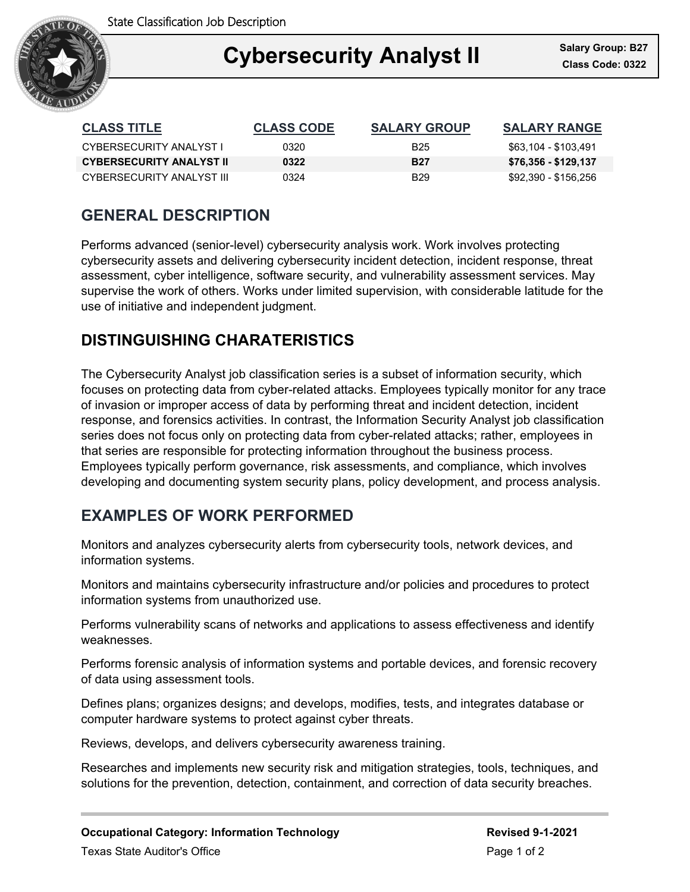State Classification Job Description



### Ξ **Cybersecurity Analyst II Class Code: 0322**

| <b>CLASS TITLE</b>              | <b>CLASS CODE</b> | <b>SALARY GROUP</b> | <b>SALARY RANGE</b>  |
|---------------------------------|-------------------|---------------------|----------------------|
| CYBERSECURITY ANALYST L         | 0320.             | B <sub>25</sub>     | \$63,104 - \$103,491 |
| <b>CYBERSECURITY ANALYST II</b> | 0322              | <b>B27</b>          | \$76,356 - \$129,137 |
| CYBERSECURITY ANALYST III       | 0324              | <b>B29</b>          | \$92,390 - \$156,256 |

## **GENERAL DESCRIPTION**

Performs advanced (senior-level) cybersecurity analysis work. Work involves protecting cybersecurity assets and delivering cybersecurity incident detection, incident response, threat assessment, cyber intelligence, software security, and vulnerability assessment services. May supervise the work of others. Works under limited supervision, with considerable latitude for the use of initiative and independent judgment.

# **DISTINGUISHING CHARATERISTICS**

The Cybersecurity Analyst job classification series is a subset of information security, which focuses on protecting data from cyber-related attacks. Employees typically monitor for any trace of invasion or improper access of data by performing threat and incident detection, incident response, and forensics activities. In contrast, the Information Security Analyst job classification series does not focus only on protecting data from cyber-related attacks; rather, employees in that series are responsible for protecting information throughout the business process. Employees typically perform governance, risk assessments, and compliance, which involves developing and documenting system security plans, policy development, and process analysis.

# **EXAMPLES OF WORK PERFORMED**

Monitors and analyzes cybersecurity alerts from cybersecurity tools, network devices, and information systems.

Monitors and maintains cybersecurity infrastructure and/or policies and procedures to protect information systems from unauthorized use.

Performs vulnerability scans of networks and applications to assess effectiveness and identify weaknesses.

Performs forensic analysis of information systems and portable devices, and forensic recovery of data using assessment tools.

Defines plans; organizes designs; and develops, modifies, tests, and integrates database or computer hardware systems to protect against cyber threats.

Reviews, develops, and delivers cybersecurity awareness training.

Researches and implements new security risk and mitigation strategies, tools, techniques, and solutions for the prevention, detection, containment, and correction of data security breaches.